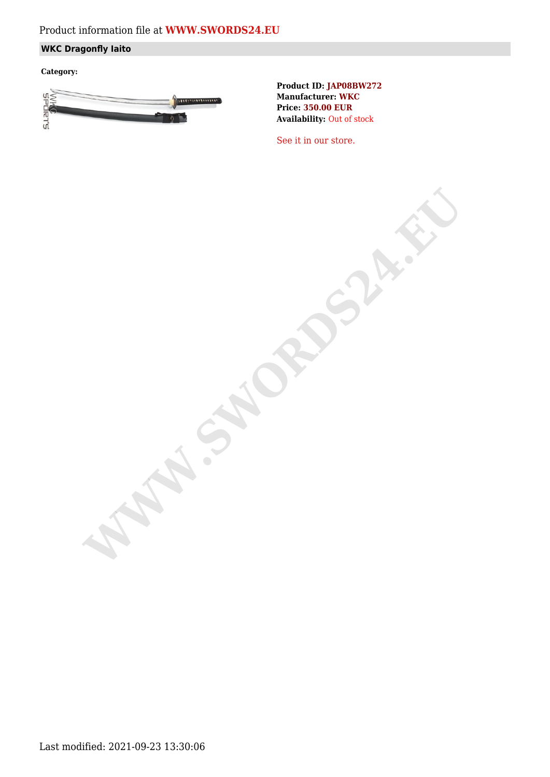# Product information file at **[WWW.SWORDS24.EU](https://www.swords24.eu)**

## **WKC Dragonfly Iaito**

**Category:**



**Product ID: JAP08BW272 Manufacturer: WKC Price: 350.00 EUR Availability:** Out of stock

[See it in our store.](https://www.swords24.eu/product/description/1124/WKC-Dragonfly-Iaito-JAP08BW302.html)

**WARDSHIP**